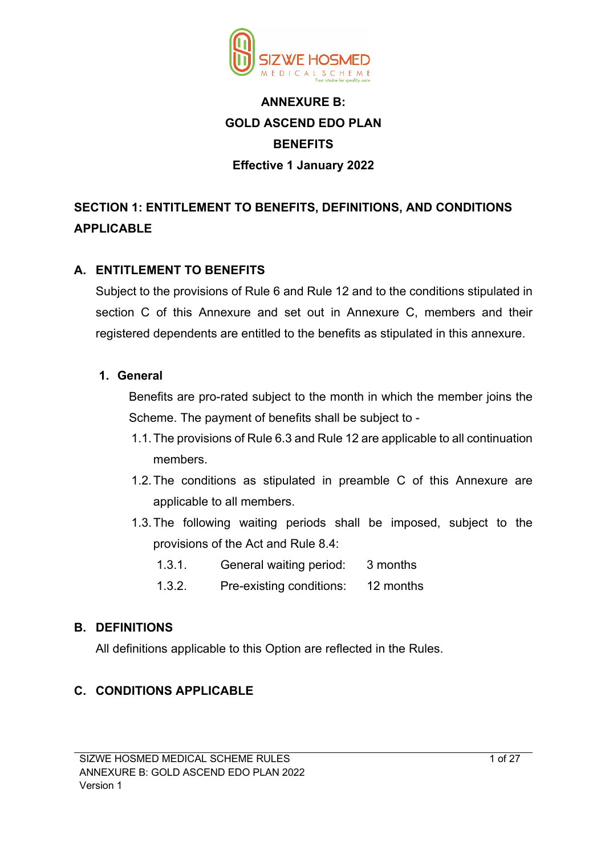

# **ANNEXURE B: GOLD ASCEND EDO PLAN BENEFITS Effective 1 January 2022**

# **SECTION 1: ENTITLEMENT TO BENEFITS, DEFINITIONS, AND CONDITIONS APPLICABLE**

## **A. ENTITLEMENT TO BENEFITS**

Subject to the provisions of Rule 6 and Rule 12 and to the conditions stipulated in section C of this Annexure and set out in Annexure C, members and their registered dependents are entitled to the benefits as stipulated in this annexure.

#### **1. General**

Benefits are pro-rated subject to the month in which the member joins the Scheme. The payment of benefits shall be subject to -

- 1.1.The provisions of Rule 6.3 and Rule 12 are applicable to all continuation members.
- 1.2.The conditions as stipulated in preamble C of this Annexure are applicable to all members.
- 1.3.The following waiting periods shall be imposed, subject to the provisions of the Act and Rule 8.4:
	- 1.3.1. General waiting period: 3 months
	- 1.3.2. Pre-existing conditions: 12 months

## **B. DEFINITIONS**

All definitions applicable to this Option are reflected in the Rules.

## **C. CONDITIONS APPLICABLE**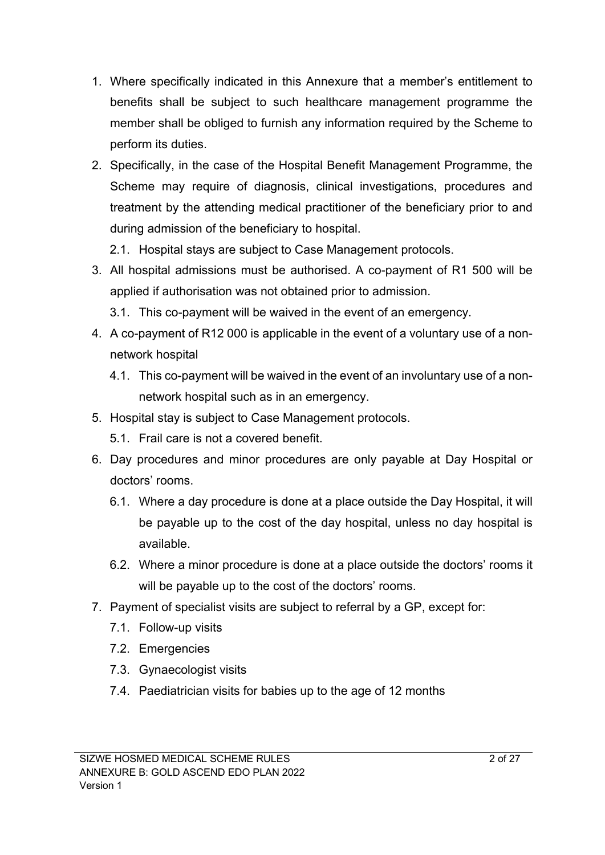- 1. Where specifically indicated in this Annexure that a member's entitlement to benefits shall be subject to such healthcare management programme the member shall be obliged to furnish any information required by the Scheme to perform its duties.
- 2. Specifically, in the case of the Hospital Benefit Management Programme, the Scheme may require of diagnosis, clinical investigations, procedures and treatment by the attending medical practitioner of the beneficiary prior to and during admission of the beneficiary to hospital.
	- 2.1. Hospital stays are subject to Case Management protocols.
- 3. All hospital admissions must be authorised. A co-payment of R1 500 will be applied if authorisation was not obtained prior to admission.
	- 3.1. This co-payment will be waived in the event of an emergency.
- 4. A co-payment of R12 000 is applicable in the event of a voluntary use of a nonnetwork hospital
	- 4.1. This co-payment will be waived in the event of an involuntary use of a nonnetwork hospital such as in an emergency.
- 5. Hospital stay is subject to Case Management protocols.
	- 5.1. Frail care is not a covered benefit.
- 6. Day procedures and minor procedures are only payable at Day Hospital or doctors' rooms.
	- 6.1. Where a day procedure is done at a place outside the Day Hospital, it will be payable up to the cost of the day hospital, unless no day hospital is available.
	- 6.2. Where a minor procedure is done at a place outside the doctors' rooms it will be payable up to the cost of the doctors' rooms.
- 7. Payment of specialist visits are subject to referral by a GP, except for:
	- 7.1. Follow-up visits
	- 7.2. Emergencies
	- 7.3. Gynaecologist visits
	- 7.4. Paediatrician visits for babies up to the age of 12 months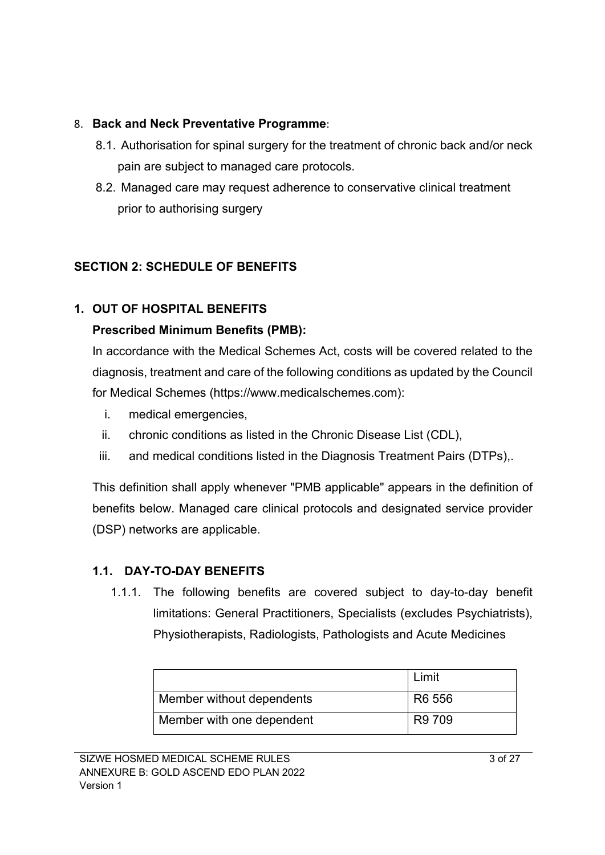## 8. **Back and Neck Preventative Programme**:

- 8.1. Authorisation for spinal surgery for the treatment of chronic back and/or neck pain are subject to managed care protocols.
- 8.2. Managed care may request adherence to conservative clinical treatment prior to authorising surgery

# **SECTION 2: SCHEDULE OF BENEFITS**

# **1. OUT OF HOSPITAL BENEFITS**

## **Prescribed Minimum Benefits (PMB):**

In accordance with the Medical Schemes Act, costs will be covered related to the diagnosis, treatment and care of the following conditions as updated by the Council for Medical Schemes (https://www.medicalschemes.com):

- i. medical emergencies,
- ii. chronic conditions as listed in the Chronic Disease List (CDL),
- iii. and medical conditions listed in the Diagnosis Treatment Pairs (DTPs),.

This definition shall apply whenever "PMB applicable" appears in the definition of benefits below. Managed care clinical protocols and designated service provider (DSP) networks are applicable.

## **1.1. DAY-TO-DAY BENEFITS**

1.1.1. The following benefits are covered subject to day-to-day benefit limitations: General Practitioners, Specialists (excludes Psychiatrists), Physiotherapists, Radiologists, Pathologists and Acute Medicines

|                           | Limit  |
|---------------------------|--------|
| Member without dependents | R6 556 |
| Member with one dependent | R9 709 |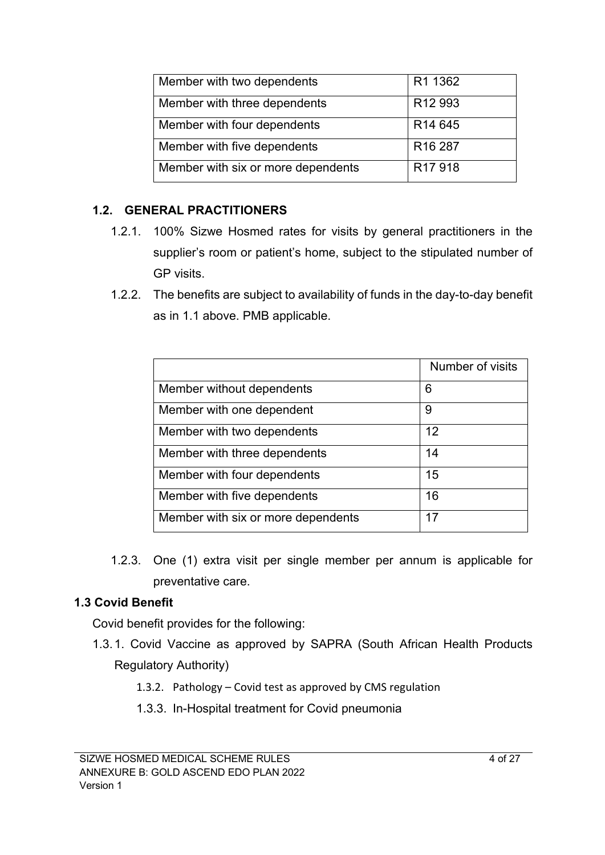| Member with two dependents         | R1 1362             |
|------------------------------------|---------------------|
| Member with three dependents       | R <sub>12</sub> 993 |
| Member with four dependents        | R <sub>14</sub> 645 |
| Member with five dependents        | R <sub>16</sub> 287 |
| Member with six or more dependents | R <sub>17</sub> 918 |

#### **1.2. GENERAL PRACTITIONERS**

- 1.2.1. 100% Sizwe Hosmed rates for visits by general practitioners in the supplier's room or patient's home, subject to the stipulated number of GP visits.
- 1.2.2. The benefits are subject to availability of funds in the day-to-day benefit as in 1.1 above. PMB applicable.

|                                    | Number of visits |
|------------------------------------|------------------|
| Member without dependents          | 6                |
| Member with one dependent          | 9                |
| Member with two dependents         | 12               |
| Member with three dependents       | 14               |
| Member with four dependents        | 15               |
| Member with five dependents        | 16               |
| Member with six or more dependents | 17               |

1.2.3. One (1) extra visit per single member per annum is applicable for preventative care.

## **1.3 Covid Benefit**

Covid benefit provides for the following:

- 1.3.1. Covid Vaccine as approved by SAPRA (South African Health Products Regulatory Authority)
	- 1.3.2. Pathology Covid test as approved by CMS regulation
	- 1.3.3. In-Hospital treatment for Covid pneumonia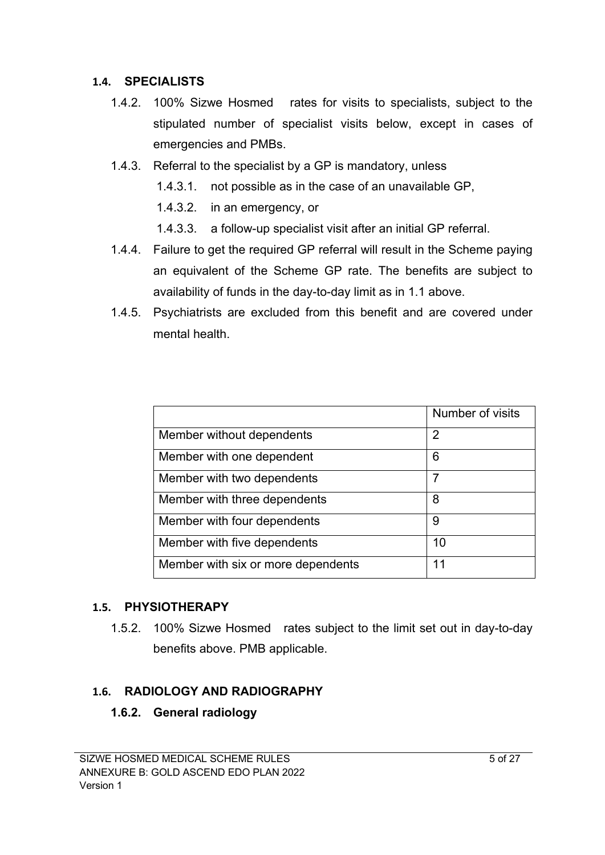#### **1.4. SPECIALISTS**

- 1.4.2. 100% Sizwe Hosmed rates for visits to specialists, subject to the stipulated number of specialist visits below, except in cases of emergencies and PMBs.
- 1.4.3. Referral to the specialist by a GP is mandatory, unless
	- 1.4.3.1. not possible as in the case of an unavailable GP,
	- 1.4.3.2. in an emergency, or
	- 1.4.3.3. a follow-up specialist visit after an initial GP referral.
- 1.4.4. Failure to get the required GP referral will result in the Scheme paying an equivalent of the Scheme GP rate. The benefits are subject to availability of funds in the day-to-day limit as in 1.1 above.
- 1.4.5. Psychiatrists are excluded from this benefit and are covered under mental health.

|                                    | Number of visits |
|------------------------------------|------------------|
| Member without dependents          | $\overline{2}$   |
| Member with one dependent          | 6                |
| Member with two dependents         |                  |
| Member with three dependents       | 8                |
| Member with four dependents        | 9                |
| Member with five dependents        | 10               |
| Member with six or more dependents | 11               |

## **1.5. PHYSIOTHERAPY**

1.5.2. 100% Sizwe Hosmed rates subject to the limit set out in day-to-day benefits above. PMB applicable.

# **1.6. RADIOLOGY AND RADIOGRAPHY**

## **1.6.2. General radiology**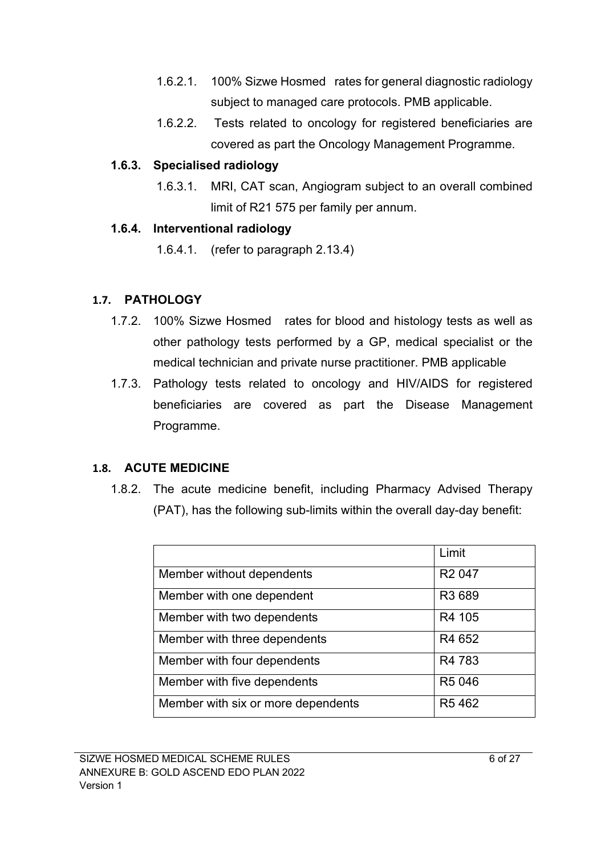- 1.6.2.1. 100% Sizwe Hosmed rates for general diagnostic radiology subject to managed care protocols. PMB applicable.
- 1.6.2.2. Tests related to oncology for registered beneficiaries are covered as part the Oncology Management Programme.

#### **1.6.3. Specialised radiology**

1.6.3.1. MRI, CAT scan, Angiogram subject to an overall combined limit of R21 575 per family per annum.

#### **1.6.4. Interventional radiology**

1.6.4.1. (refer to paragraph 2.13.4)

## **1.7. PATHOLOGY**

- 1.7.2. 100% Sizwe Hosmed rates for blood and histology tests as well as other pathology tests performed by a GP, medical specialist or the medical technician and private nurse practitioner. PMB applicable
- 1.7.3. Pathology tests related to oncology and HIV/AIDS for registered beneficiaries are covered as part the Disease Management Programme.

# **1.8. ACUTE MEDICINE**

1.8.2. The acute medicine benefit, including Pharmacy Advised Therapy (PAT), has the following sub-limits within the overall day-day benefit:

|                                    | Limit              |
|------------------------------------|--------------------|
| Member without dependents          | R <sub>2</sub> 047 |
| Member with one dependent          | R3 689             |
| Member with two dependents         | R4 105             |
| Member with three dependents       | R4 652             |
| Member with four dependents        | R4 783             |
| Member with five dependents        | R5 046             |
| Member with six or more dependents | R5462              |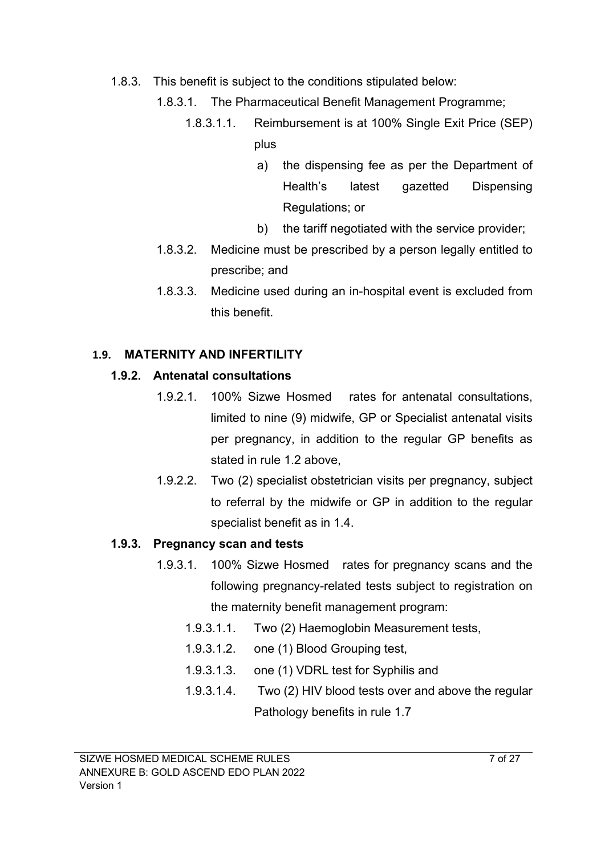- 1.8.3. This benefit is subject to the conditions stipulated below:
	- 1.8.3.1. The Pharmaceutical Benefit Management Programme;
		- 1.8.3.1.1. Reimbursement is at 100% Single Exit Price (SEP) plus
			- a) the dispensing fee as per the Department of Health's latest gazetted Dispensing Regulations; or
			- b) the tariff negotiated with the service provider;
	- 1.8.3.2. Medicine must be prescribed by a person legally entitled to prescribe; and
	- 1.8.3.3. Medicine used during an in-hospital event is excluded from this benefit.

# **1.9. MATERNITY AND INFERTILITY**

# **1.9.2. Antenatal consultations**

- 1.9.2.1. 100% Sizwe Hosmed rates for antenatal consultations, limited to nine (9) midwife, GP or Specialist antenatal visits per pregnancy, in addition to the regular GP benefits as stated in rule 1.2 above,
- 1.9.2.2. Two (2) specialist obstetrician visits per pregnancy, subject to referral by the midwife or GP in addition to the regular specialist benefit as in 1.4.

# **1.9.3. Pregnancy scan and tests**

- 1.9.3.1. 100% Sizwe Hosmed rates for pregnancy scans and the following pregnancy-related tests subject to registration on the maternity benefit management program:
	- 1.9.3.1.1. Two (2) Haemoglobin Measurement tests,
	- 1.9.3.1.2. one (1) Blood Grouping test,
	- 1.9.3.1.3. one (1) VDRL test for Syphilis and
	- 1.9.3.1.4. Two (2) HIV blood tests over and above the regular Pathology benefits in rule 1.7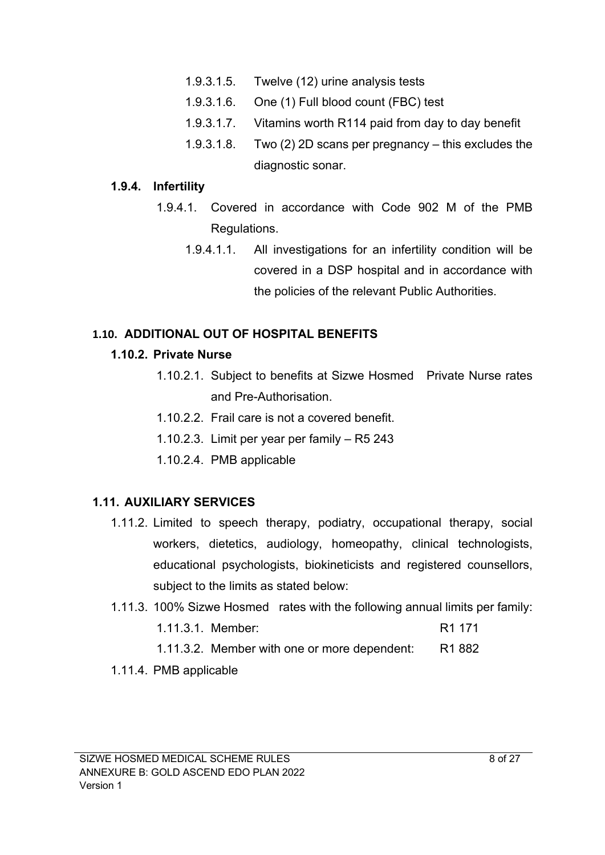- 1.9.3.1.5. Twelve (12) urine analysis tests
- 1.9.3.1.6. One (1) Full blood count (FBC) test
- 1.9.3.1.7. Vitamins worth R114 paid from day to day benefit
- 1.9.3.1.8. Two (2) 2D scans per pregnancy this excludes the diagnostic sonar.

#### **1.9.4. Infertility**

- 1.9.4.1. Covered in accordance with Code 902 M of the PMB Regulations.
	- 1.9.4.1.1. All investigations for an infertility condition will be covered in a DSP hospital and in accordance with the policies of the relevant Public Authorities.

## **1.10. ADDITIONAL OUT OF HOSPITAL BENEFITS**

#### **1.10.2. Private Nurse**

- 1.10.2.1. Subject to benefits at Sizwe Hosmed Private Nurse rates and Pre-Authorisation.
- 1.10.2.2. Frail care is not a covered benefit.
- 1.10.2.3. Limit per year per family R5 243
- 1.10.2.4. PMB applicable

## **1.11. AUXILIARY SERVICES**

- 1.11.2. Limited to speech therapy, podiatry, occupational therapy, social workers, dietetics, audiology, homeopathy, clinical technologists, educational psychologists, biokineticists and registered counsellors, subject to the limits as stated below:
- 1.11.3. 100% Sizwe Hosmed rates with the following annual limits per family: 1.11.3.1. Member: R1 171
	- 1.11.3.2. Member with one or more dependent: R1 882

## 1.11.4. PMB applicable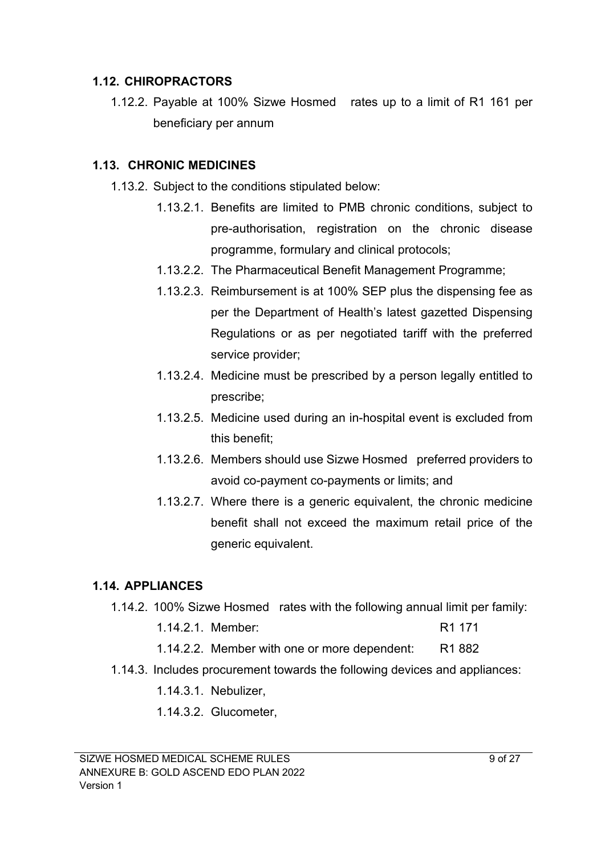#### **1.12. CHIROPRACTORS**

1.12.2. Payable at 100% Sizwe Hosmed rates up to a limit of R1 161 per beneficiary per annum

#### **1.13. CHRONIC MEDICINES**

- 1.13.2. Subject to the conditions stipulated below:
	- 1.13.2.1. Benefits are limited to PMB chronic conditions, subject to pre-authorisation, registration on the chronic disease programme, formulary and clinical protocols;
	- 1.13.2.2. The Pharmaceutical Benefit Management Programme;
	- 1.13.2.3. Reimbursement is at 100% SEP plus the dispensing fee as per the Department of Health's latest gazetted Dispensing Regulations or as per negotiated tariff with the preferred service provider;
	- 1.13.2.4. Medicine must be prescribed by a person legally entitled to prescribe;
	- 1.13.2.5. Medicine used during an in-hospital event is excluded from this benefit;
	- 1.13.2.6. Members should use Sizwe Hosmed preferred providers to avoid co-payment co-payments or limits; and
	- 1.13.2.7. Where there is a generic equivalent, the chronic medicine benefit shall not exceed the maximum retail price of the generic equivalent.

## **1.14. APPLIANCES**

- 1.14.2. 100% Sizwe Hosmed rates with the following annual limit per family:
	- 1.14.2.1. Member: R1 171
	- 1.14.2.2. Member with one or more dependent: R1 882
- 1.14.3. Includes procurement towards the following devices and appliances:
	- 1.14.3.1. Nebulizer,
	- 1.14.3.2. Glucometer,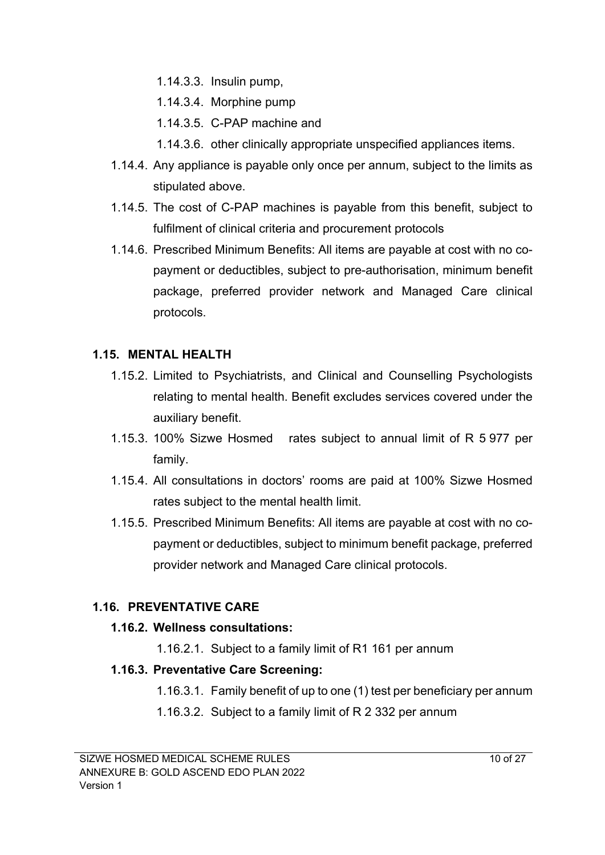- 1.14.3.3. Insulin pump,
- 1.14.3.4. Morphine pump
- 1.14.3.5. C-PAP machine and
- 1.14.3.6. other clinically appropriate unspecified appliances items.
- 1.14.4. Any appliance is payable only once per annum, subject to the limits as stipulated above.
- 1.14.5. The cost of C-PAP machines is payable from this benefit, subject to fulfilment of clinical criteria and procurement protocols
- 1.14.6. Prescribed Minimum Benefits: All items are payable at cost with no copayment or deductibles, subject to pre-authorisation, minimum benefit package, preferred provider network and Managed Care clinical protocols.

## **1.15. MENTAL HEALTH**

- 1.15.2. Limited to Psychiatrists, and Clinical and Counselling Psychologists relating to mental health. Benefit excludes services covered under the auxiliary benefit.
- 1.15.3. 100% Sizwe Hosmed rates subject to annual limit of R 5 977 per family.
- 1.15.4. All consultations in doctors' rooms are paid at 100% Sizwe Hosmed rates subject to the mental health limit.
- 1.15.5. Prescribed Minimum Benefits: All items are payable at cost with no copayment or deductibles, subject to minimum benefit package, preferred provider network and Managed Care clinical protocols.

## **1.16. PREVENTATIVE CARE**

#### **1.16.2. Wellness consultations:**

1.16.2.1. Subject to a family limit of R1 161 per annum

## **1.16.3. Preventative Care Screening:**

1.16.3.1. Family benefit of up to one (1) test per beneficiary per annum

1.16.3.2. Subject to a family limit of R 2 332 per annum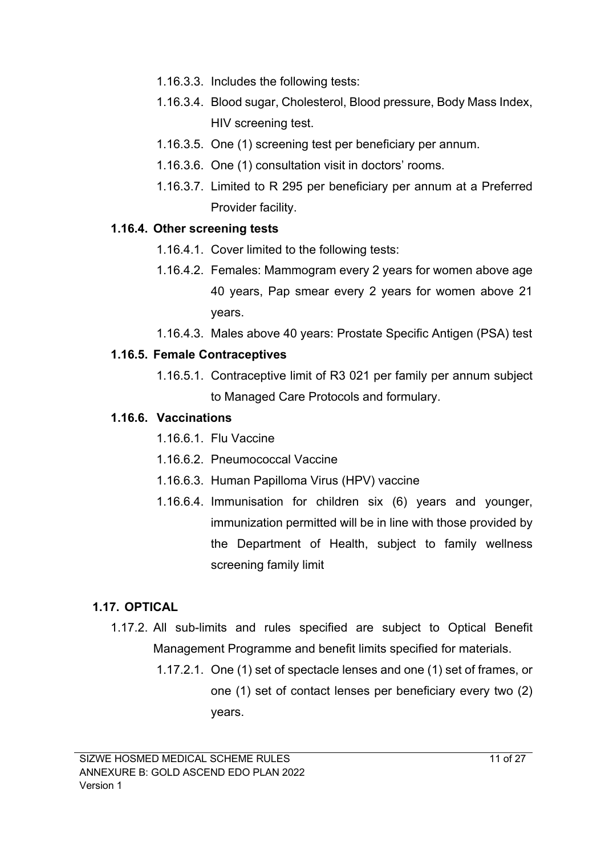- 1.16.3.3. Includes the following tests:
- 1.16.3.4. Blood sugar, Cholesterol, Blood pressure, Body Mass Index, HIV screening test.
- 1.16.3.5. One (1) screening test per beneficiary per annum.
- 1.16.3.6. One (1) consultation visit in doctors' rooms.
- 1.16.3.7. Limited to R 295 per beneficiary per annum at a Preferred Provider facility.

#### **1.16.4. Other screening tests**

- 1.16.4.1. Cover limited to the following tests:
- 1.16.4.2. Females: Mammogram every 2 years for women above age 40 years, Pap smear every 2 years for women above 21 years.
- 1.16.4.3. Males above 40 years: Prostate Specific Antigen (PSA) test

#### **1.16.5. Female Contraceptives**

1.16.5.1. Contraceptive limit of R3 021 per family per annum subject to Managed Care Protocols and formulary.

#### **1.16.6. Vaccinations**

- 1.16.6.1. Flu Vaccine
- 1.16.6.2. Pneumococcal Vaccine
- 1.16.6.3. Human Papilloma Virus (HPV) vaccine
- 1.16.6.4. Immunisation for children six (6) years and younger, immunization permitted will be in line with those provided by the Department of Health, subject to family wellness screening family limit

## **1.17. OPTICAL**

- 1.17.2. All sub-limits and rules specified are subject to Optical Benefit Management Programme and benefit limits specified for materials.
	- 1.17.2.1. One (1) set of spectacle lenses and one (1) set of frames, or one (1) set of contact lenses per beneficiary every two (2) years.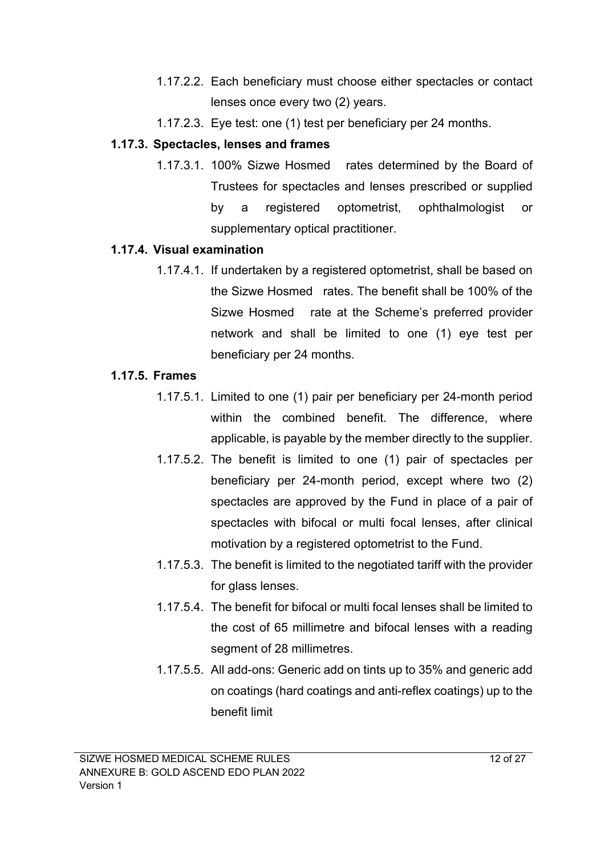- 1.17.2.2. Each beneficiary must choose either spectacles or contact lenses once every two (2) years.
- 1.17.2.3. Eye test: one (1) test per beneficiary per 24 months.

#### **1.17.3. Spectacles, lenses and frames**

1.17.3.1. 100% Sizwe Hosmed rates determined by the Board of Trustees for spectacles and lenses prescribed or supplied by a registered optometrist, ophthalmologist or supplementary optical practitioner.

#### **1.17.4. Visual examination**

1.17.4.1. If undertaken by a registered optometrist, shall be based on the Sizwe Hosmed rates. The benefit shall be 100% of the Sizwe Hosmed rate at the Scheme's preferred provider network and shall be limited to one (1) eye test per beneficiary per 24 months.

#### **1.17.5. Frames**

- 1.17.5.1. Limited to one (1) pair per beneficiary per 24-month period within the combined benefit. The difference, where applicable, is payable by the member directly to the supplier.
- 1.17.5.2. The benefit is limited to one (1) pair of spectacles per beneficiary per 24-month period, except where two (2) spectacles are approved by the Fund in place of a pair of spectacles with bifocal or multi focal lenses, after clinical motivation by a registered optometrist to the Fund.
- 1.17.5.3. The benefit is limited to the negotiated tariff with the provider for glass lenses.
- 1.17.5.4. The benefit for bifocal or multi focal lenses shall be limited to the cost of 65 millimetre and bifocal lenses with a reading segment of 28 millimetres.
- 1.17.5.5. All add-ons: Generic add on tints up to 35% and generic add on coatings (hard coatings and anti-reflex coatings) up to the benefit limit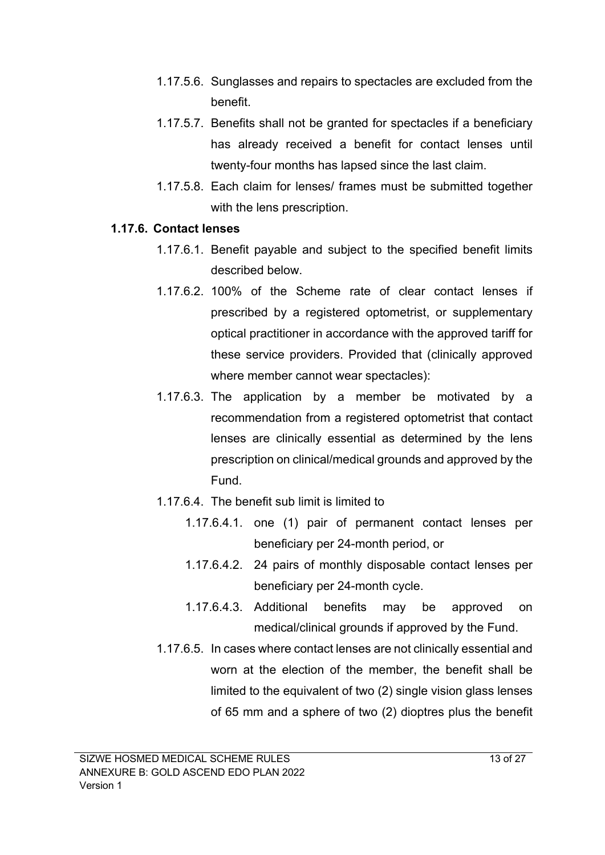- 1.17.5.6. Sunglasses and repairs to spectacles are excluded from the benefit.
- 1.17.5.7. Benefits shall not be granted for spectacles if a beneficiary has already received a benefit for contact lenses until twenty-four months has lapsed since the last claim.
- 1.17.5.8. Each claim for lenses/ frames must be submitted together with the lens prescription.

#### **1.17.6. Contact lenses**

- 1.17.6.1. Benefit payable and subject to the specified benefit limits described below.
- 1.17.6.2. 100% of the Scheme rate of clear contact lenses if prescribed by a registered optometrist, or supplementary optical practitioner in accordance with the approved tariff for these service providers. Provided that (clinically approved where member cannot wear spectacles):
- 1.17.6.3. The application by a member be motivated by a recommendation from a registered optometrist that contact lenses are clinically essential as determined by the lens prescription on clinical/medical grounds and approved by the Fund.
- 1.17.6.4. The benefit sub limit is limited to
	- 1.17.6.4.1. one (1) pair of permanent contact lenses per beneficiary per 24-month period, or
	- 1.17.6.4.2. 24 pairs of monthly disposable contact lenses per beneficiary per 24-month cycle.
	- 1.17.6.4.3. Additional benefits may be approved on medical/clinical grounds if approved by the Fund.
- 1.17.6.5. In cases where contact lenses are not clinically essential and worn at the election of the member, the benefit shall be limited to the equivalent of two (2) single vision glass lenses of 65 mm and a sphere of two (2) dioptres plus the benefit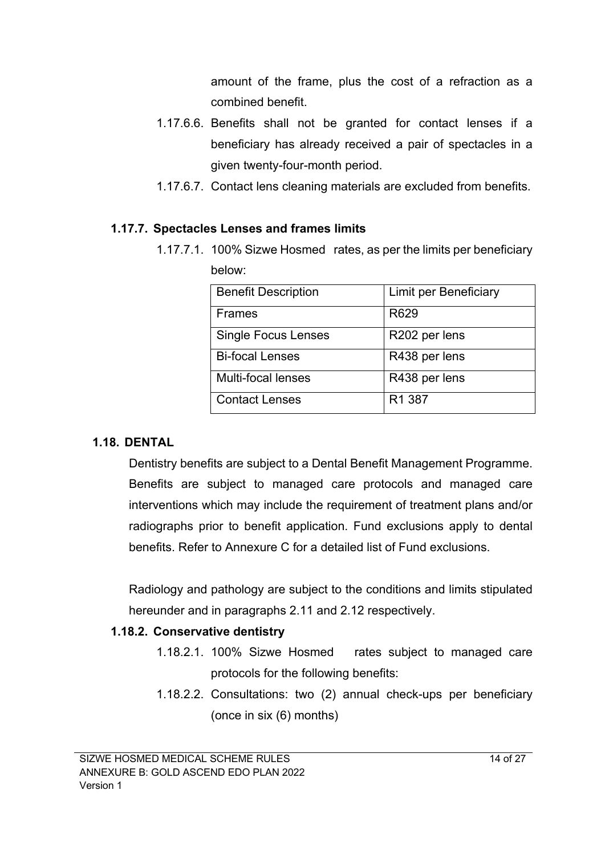amount of the frame, plus the cost of a refraction as a combined benefit.

- 1.17.6.6. Benefits shall not be granted for contact lenses if a beneficiary has already received a pair of spectacles in a given twenty-four-month period.
- 1.17.6.7. Contact lens cleaning materials are excluded from benefits.

## **1.17.7. Spectacles Lenses and frames limits**

1.17.7.1. 100% Sizwe Hosmed rates, as per the limits per beneficiary below:

| <b>Benefit Description</b> | Limit per Beneficiary |
|----------------------------|-----------------------|
| <b>Frames</b>              | R629                  |
| <b>Single Focus Lenses</b> | R202 per lens         |
| <b>Bi-focal Lenses</b>     | R438 per lens         |
| Multi-focal lenses         | R438 per lens         |
| <b>Contact Lenses</b>      | R1 387                |

## **1.18. DENTAL**

Dentistry benefits are subject to a Dental Benefit Management Programme. Benefits are subject to managed care protocols and managed care interventions which may include the requirement of treatment plans and/or radiographs prior to benefit application. Fund exclusions apply to dental benefits. Refer to Annexure C for a detailed list of Fund exclusions.

Radiology and pathology are subject to the conditions and limits stipulated hereunder and in paragraphs 2.11 and 2.12 respectively.

## **1.18.2. Conservative dentistry**

- 1.18.2.1. 100% Sizwe Hosmed rates subject to managed care protocols for the following benefits:
- 1.18.2.2. Consultations: two (2) annual check-ups per beneficiary (once in six (6) months)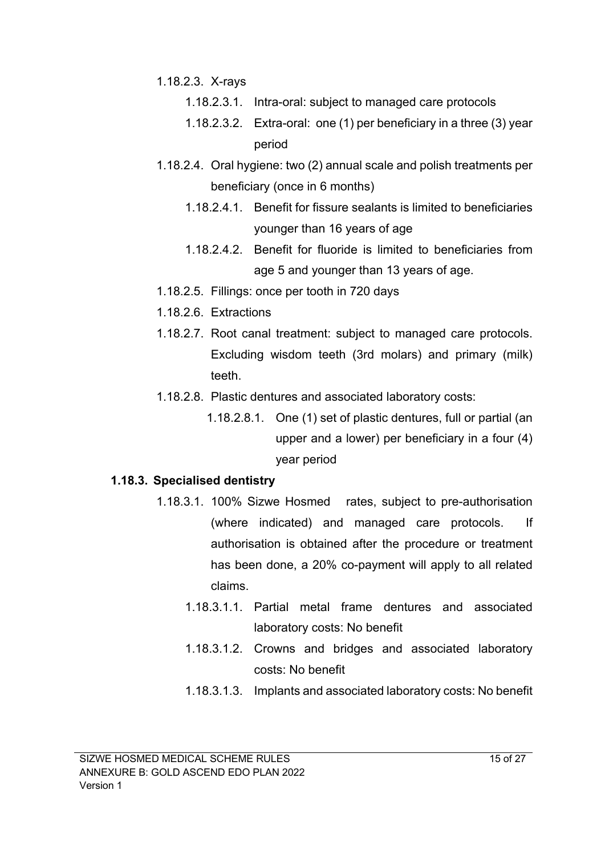- 1.18.2.3. X-rays
	- 1.18.2.3.1. Intra-oral: subject to managed care protocols
	- 1.18.2.3.2. Extra-oral: one (1) per beneficiary in a three (3) year period
- 1.18.2.4. Oral hygiene: two (2) annual scale and polish treatments per beneficiary (once in 6 months)
	- 1.18.2.4.1. Benefit for fissure sealants is limited to beneficiaries younger than 16 years of age
	- 1.18.2.4.2. Benefit for fluoride is limited to beneficiaries from age 5 and younger than 13 years of age.
- 1.18.2.5. Fillings: once per tooth in 720 days
- 1.18.2.6. Extractions
- 1.18.2.7. Root canal treatment: subject to managed care protocols. Excluding wisdom teeth (3rd molars) and primary (milk) teeth.
- 1.18.2.8. Plastic dentures and associated laboratory costs:
	- 1.18.2.8.1. One (1) set of plastic dentures, full or partial (an upper and a lower) per beneficiary in a four (4) year period

#### **1.18.3. Specialised dentistry**

- 1.18.3.1. 100% Sizwe Hosmed rates, subject to pre-authorisation (where indicated) and managed care protocols. If authorisation is obtained after the procedure or treatment has been done, a 20% co-payment will apply to all related claims.
	- 1.18.3.1.1. Partial metal frame dentures and associated laboratory costs: No benefit
	- 1.18.3.1.2. Crowns and bridges and associated laboratory costs: No benefit
	- 1.18.3.1.3. Implants and associated laboratory costs: No benefit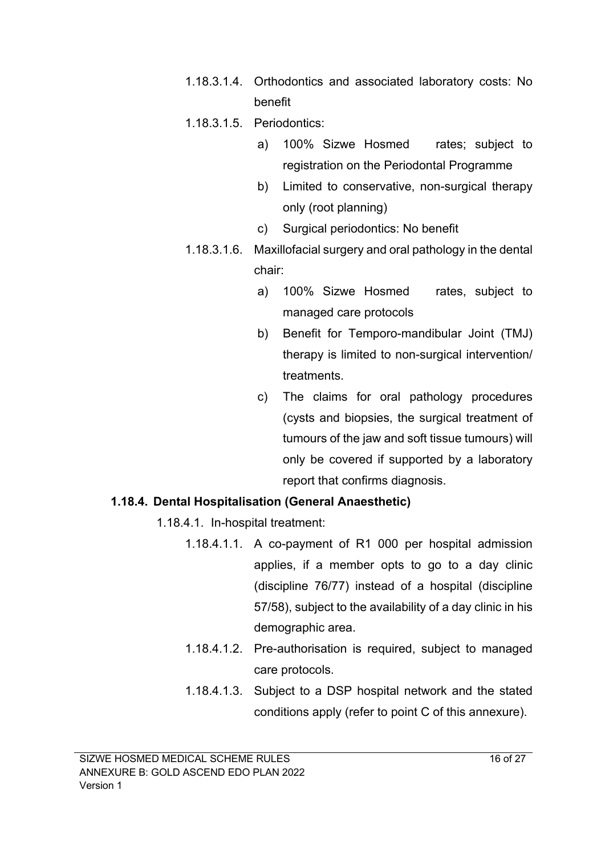- 1.18.3.1.4. Orthodontics and associated laboratory costs: No benefit
- 1.18.3.1.5. Periodontics:
	- a) 100% Sizwe Hosmed rates; subject to registration on the Periodontal Programme
	- b) Limited to conservative, non-surgical therapy only (root planning)
	- c) Surgical periodontics: No benefit
- 1.18.3.1.6. Maxillofacial surgery and oral pathology in the dental chair:
	- a) 100% Sizwe Hosmed rates, subject to managed care protocols
	- b) Benefit for Temporo-mandibular Joint (TMJ) therapy is limited to non-surgical intervention/ treatments.
	- c) The claims for oral pathology procedures (cysts and biopsies, the surgical treatment of tumours of the jaw and soft tissue tumours) will only be covered if supported by a laboratory report that confirms diagnosis.

## **1.18.4. Dental Hospitalisation (General Anaesthetic)**

- 1.18.4.1. In-hospital treatment:
	- 1.18.4.1.1. A co-payment of R1 000 per hospital admission applies, if a member opts to go to a day clinic (discipline 76/77) instead of a hospital (discipline 57/58), subject to the availability of a day clinic in his demographic area.
	- 1.18.4.1.2. Pre-authorisation is required, subject to managed care protocols.
	- 1.18.4.1.3. Subject to a DSP hospital network and the stated conditions apply (refer to point C of this annexure).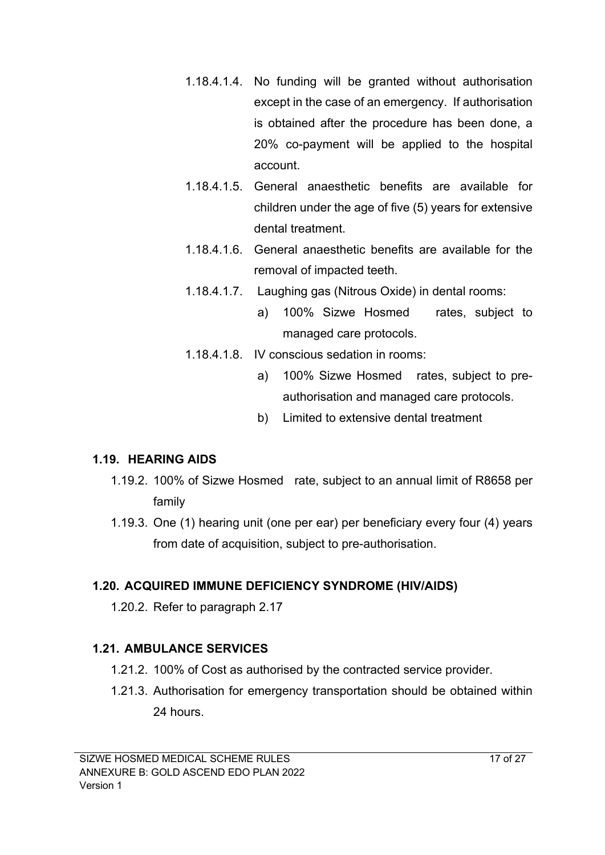- 1.18.4.1.4. No funding will be granted without authorisation except in the case of an emergency. If authorisation is obtained after the procedure has been done, a 20% co-payment will be applied to the hospital account.
- 1.18.4.1.5. General anaesthetic benefits are available for children under the age of five (5) years for extensive dental treatment.
- 1.18.4.1.6. General anaesthetic benefits are available for the removal of impacted teeth.
- 1.18.4.1.7. Laughing gas (Nitrous Oxide) in dental rooms:
	- a) 100% Sizwe Hosmed rates, subject to managed care protocols.
- 1.18.4.1.8. IV conscious sedation in rooms:
	- a) 100% Sizwe Hosmed rates, subject to preauthorisation and managed care protocols.
	- b) Limited to extensive dental treatment

# **1.19. HEARING AIDS**

- 1.19.2. 100% of Sizwe Hosmed rate, subject to an annual limit of R8658 per family
- 1.19.3. One (1) hearing unit (one per ear) per beneficiary every four (4) years from date of acquisition, subject to pre-authorisation.

# **1.20. ACQUIRED IMMUNE DEFICIENCY SYNDROME (HIV/AIDS)**

1.20.2. Refer to paragraph 2.17

# **1.21. AMBULANCE SERVICES**

- 1.21.2. 100% of Cost as authorised by the contracted service provider.
- 1.21.3. Authorisation for emergency transportation should be obtained within 24 hours.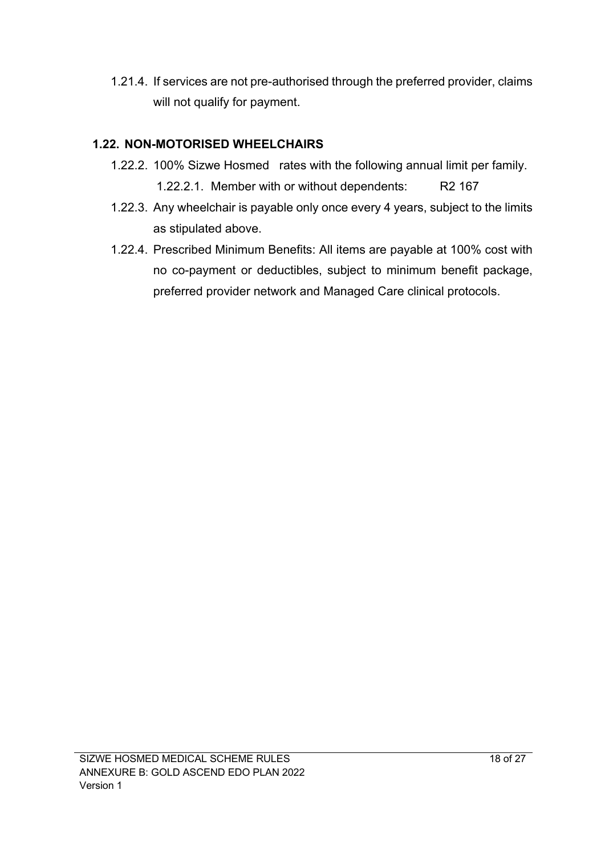1.21.4. If services are not pre-authorised through the preferred provider, claims will not qualify for payment.

## **1.22. NON-MOTORISED WHEELCHAIRS**

- 1.22.2. 100% Sizwe Hosmed rates with the following annual limit per family. 1.22.2.1. Member with or without dependents: R2 167
- 1.22.3. Any wheelchair is payable only once every 4 years, subject to the limits as stipulated above.
- 1.22.4. Prescribed Minimum Benefits: All items are payable at 100% cost with no co-payment or deductibles, subject to minimum benefit package, preferred provider network and Managed Care clinical protocols.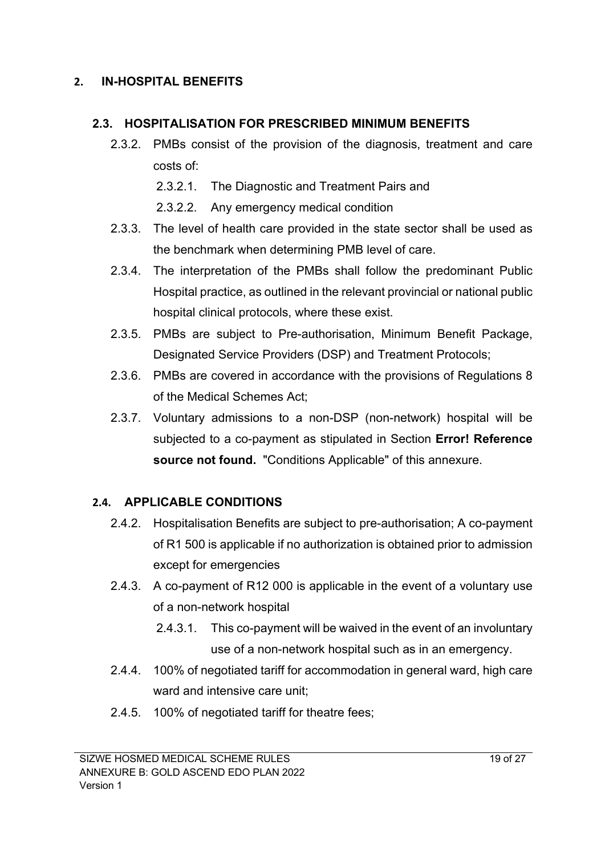#### **2. IN-HOSPITAL BENEFITS**

#### **2.3. HOSPITALISATION FOR PRESCRIBED MINIMUM BENEFITS**

- 2.3.2. PMBs consist of the provision of the diagnosis, treatment and care costs of:
	- 2.3.2.1. The Diagnostic and Treatment Pairs and
	- 2.3.2.2. Any emergency medical condition
- 2.3.3. The level of health care provided in the state sector shall be used as the benchmark when determining PMB level of care.
- 2.3.4. The interpretation of the PMBs shall follow the predominant Public Hospital practice, as outlined in the relevant provincial or national public hospital clinical protocols, where these exist.
- 2.3.5. PMBs are subject to Pre-authorisation, Minimum Benefit Package, Designated Service Providers (DSP) and Treatment Protocols;
- 2.3.6. PMBs are covered in accordance with the provisions of Regulations 8 of the Medical Schemes Act;
- 2.3.7. Voluntary admissions to a non-DSP (non-network) hospital will be subjected to a co-payment as stipulated in Section **Error! Reference source not found.** "Conditions Applicable" of this annexure.

## **2.4. APPLICABLE CONDITIONS**

- 2.4.2. Hospitalisation Benefits are subject to pre-authorisation; A co-payment of R1 500 is applicable if no authorization is obtained prior to admission except for emergencies
- 2.4.3. A co-payment of R12 000 is applicable in the event of a voluntary use of a non-network hospital
	- 2.4.3.1. This co-payment will be waived in the event of an involuntary use of a non-network hospital such as in an emergency.
- 2.4.4. 100% of negotiated tariff for accommodation in general ward, high care ward and intensive care unit;
- 2.4.5. 100% of negotiated tariff for theatre fees;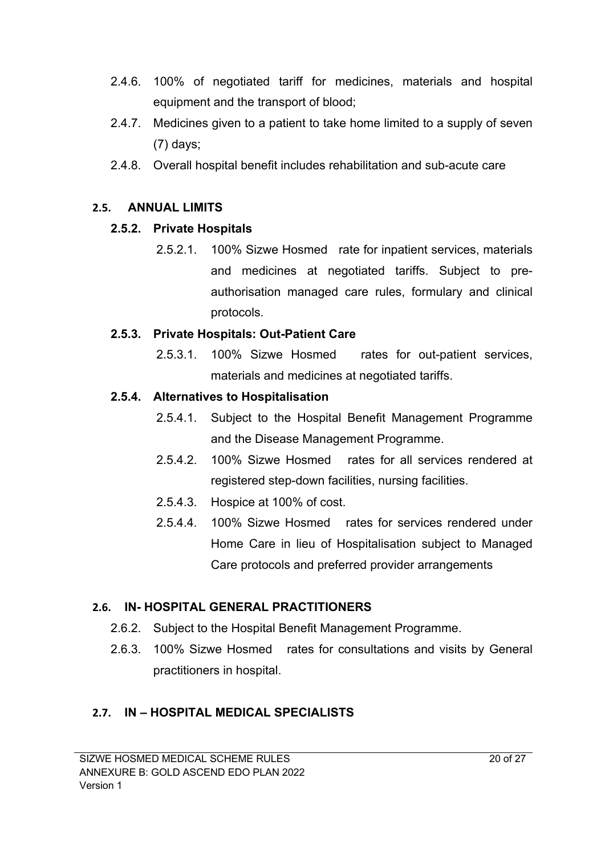- 2.4.6. 100% of negotiated tariff for medicines, materials and hospital equipment and the transport of blood;
- 2.4.7. Medicines given to a patient to take home limited to a supply of seven (7) days;
- 2.4.8. Overall hospital benefit includes rehabilitation and sub-acute care

#### **2.5. ANNUAL LIMITS**

#### **2.5.2. Private Hospitals**

2.5.2.1. 100% Sizwe Hosmed rate for inpatient services, materials and medicines at negotiated tariffs. Subject to preauthorisation managed care rules, formulary and clinical protocols.

#### **2.5.3. Private Hospitals: Out-Patient Care**

2.5.3.1. 100% Sizwe Hosmed rates for out-patient services, materials and medicines at negotiated tariffs.

#### **2.5.4. Alternatives to Hospitalisation**

- 2.5.4.1. Subject to the Hospital Benefit Management Programme and the Disease Management Programme.
- 2.5.4.2. 100% Sizwe Hosmed rates for all services rendered at registered step-down facilities, nursing facilities.
- 2.5.4.3. Hospice at 100% of cost.
- 2.5.4.4. 100% Sizwe Hosmed rates for services rendered under Home Care in lieu of Hospitalisation subject to Managed Care protocols and preferred provider arrangements

## **2.6. IN- HOSPITAL GENERAL PRACTITIONERS**

- 2.6.2. Subject to the Hospital Benefit Management Programme.
- 2.6.3. 100% Sizwe Hosmed rates for consultations and visits by General practitioners in hospital.

## **2.7. IN – HOSPITAL MEDICAL SPECIALISTS**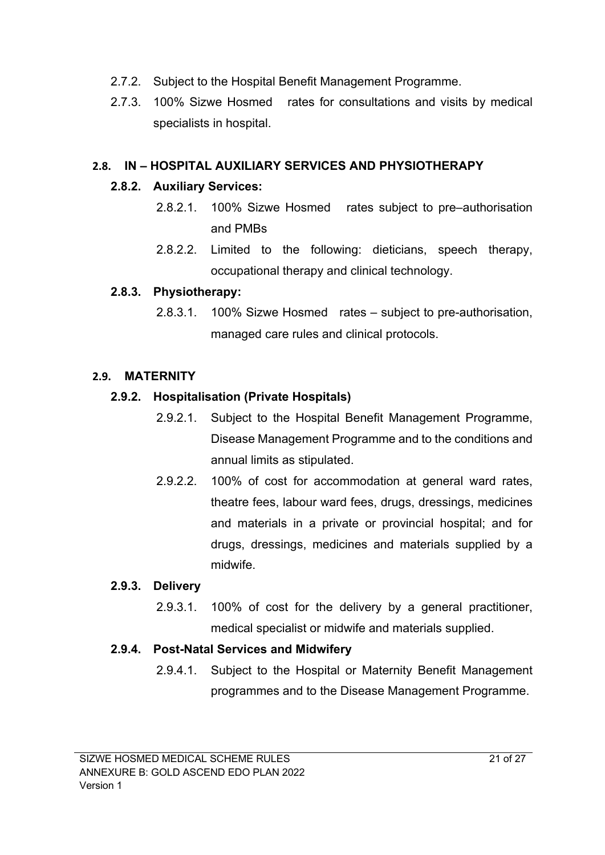- 2.7.2. Subject to the Hospital Benefit Management Programme.
- 2.7.3. 100% Sizwe Hosmed rates for consultations and visits by medical specialists in hospital.

## **2.8. IN – HOSPITAL AUXILIARY SERVICES AND PHYSIOTHERAPY**

#### **2.8.2. Auxiliary Services:**

- 2.8.2.1. 100% Sizwe Hosmed rates subject to pre–authorisation and PMBs
- 2.8.2.2. Limited to the following: dieticians, speech therapy, occupational therapy and clinical technology.

#### **2.8.3. Physiotherapy:**

2.8.3.1. 100% Sizwe Hosmed rates – subject to pre-authorisation, managed care rules and clinical protocols.

#### **2.9. MATERNITY**

#### **2.9.2. Hospitalisation (Private Hospitals)**

- 2.9.2.1. Subject to the Hospital Benefit Management Programme, Disease Management Programme and to the conditions and annual limits as stipulated.
- 2.9.2.2. 100% of cost for accommodation at general ward rates, theatre fees, labour ward fees, drugs, dressings, medicines and materials in a private or provincial hospital; and for drugs, dressings, medicines and materials supplied by a midwife.

#### **2.9.3. Delivery**

2.9.3.1. 100% of cost for the delivery by a general practitioner, medical specialist or midwife and materials supplied.

## **2.9.4. Post-Natal Services and Midwifery**

2.9.4.1. Subject to the Hospital or Maternity Benefit Management programmes and to the Disease Management Programme.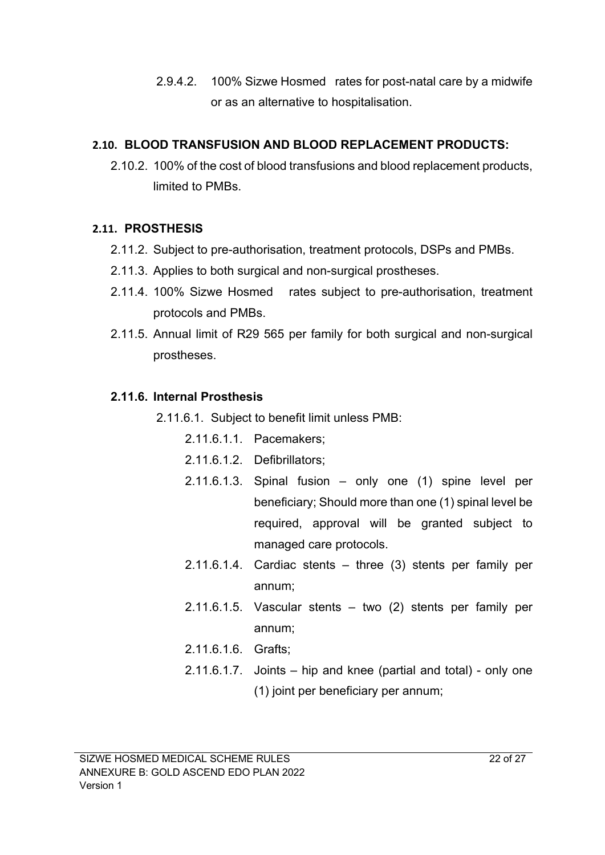2.9.4.2. 100% Sizwe Hosmed rates for post-natal care by a midwife or as an alternative to hospitalisation.

## **2.10. BLOOD TRANSFUSION AND BLOOD REPLACEMENT PRODUCTS:**

2.10.2. 100% of the cost of blood transfusions and blood replacement products, limited to PMBs.

## **2.11. PROSTHESIS**

- 2.11.2. Subject to pre-authorisation, treatment protocols, DSPs and PMBs.
- 2.11.3. Applies to both surgical and non-surgical prostheses.
- 2.11.4. 100% Sizwe Hosmed rates subject to pre-authorisation, treatment protocols and PMBs.
- 2.11.5. Annual limit of R29 565 per family for both surgical and non-surgical prostheses.

## **2.11.6. Internal Prosthesis**

2.11.6.1. Subject to benefit limit unless PMB:

- 2.11.6.1.1. Pacemakers;
- 2.11.6.1.2. Defibrillators;
- 2.11.6.1.3. Spinal fusion only one (1) spine level per beneficiary; Should more than one (1) spinal level be required, approval will be granted subject to managed care protocols.
- 2.11.6.1.4. Cardiac stents three (3) stents per family per annum;
- 2.11.6.1.5. Vascular stents two (2) stents per family per annum;
- 2.11.6.1.6. Grafts;
- 2.11.6.1.7. Joints hip and knee (partial and total) only one (1) joint per beneficiary per annum;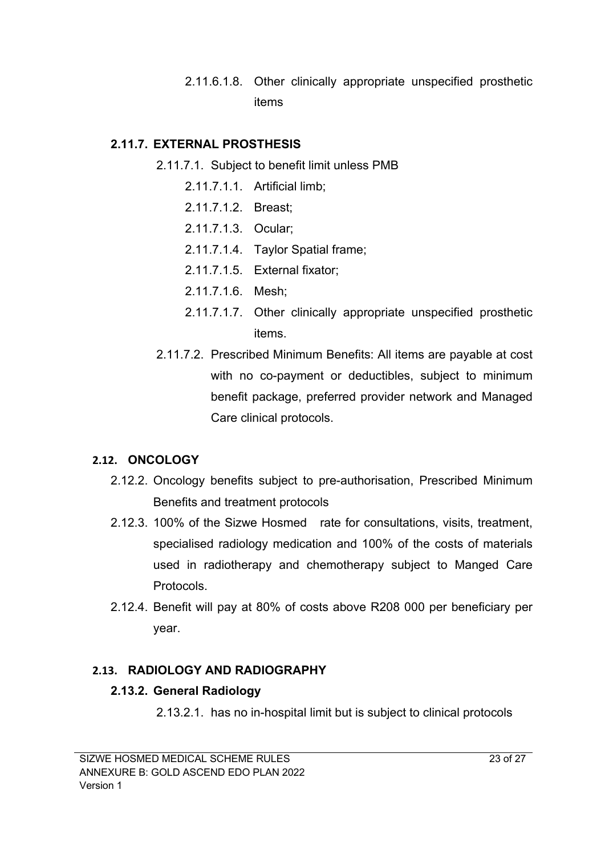2.11.6.1.8. Other clinically appropriate unspecified prosthetic items

#### **2.11.7. EXTERNAL PROSTHESIS**

- 2.11.7.1. Subject to benefit limit unless PMB
	- 2.11.7.1.1. Artificial limb;
	- 2.11.7.1.2. Breast;
	- 2.11.7.1.3. Ocular;
	- 2.11.7.1.4. Taylor Spatial frame;
	- 2.11.7.1.5. External fixator;
	- 2.11.7.1.6. Mesh;
	- 2.11.7.1.7. Other clinically appropriate unspecified prosthetic items.
- 2.11.7.2. Prescribed Minimum Benefits: All items are payable at cost with no co-payment or deductibles, subject to minimum benefit package, preferred provider network and Managed Care clinical protocols.

#### **2.12. ONCOLOGY**

- 2.12.2. Oncology benefits subject to pre-authorisation, Prescribed Minimum Benefits and treatment protocols
- 2.12.3. 100% of the Sizwe Hosmed rate for consultations, visits, treatment, specialised radiology medication and 100% of the costs of materials used in radiotherapy and chemotherapy subject to Manged Care Protocols.
- 2.12.4. Benefit will pay at 80% of costs above R208 000 per beneficiary per year.

#### **2.13. RADIOLOGY AND RADIOGRAPHY**

#### **2.13.2. General Radiology**

2.13.2.1. has no in-hospital limit but is subject to clinical protocols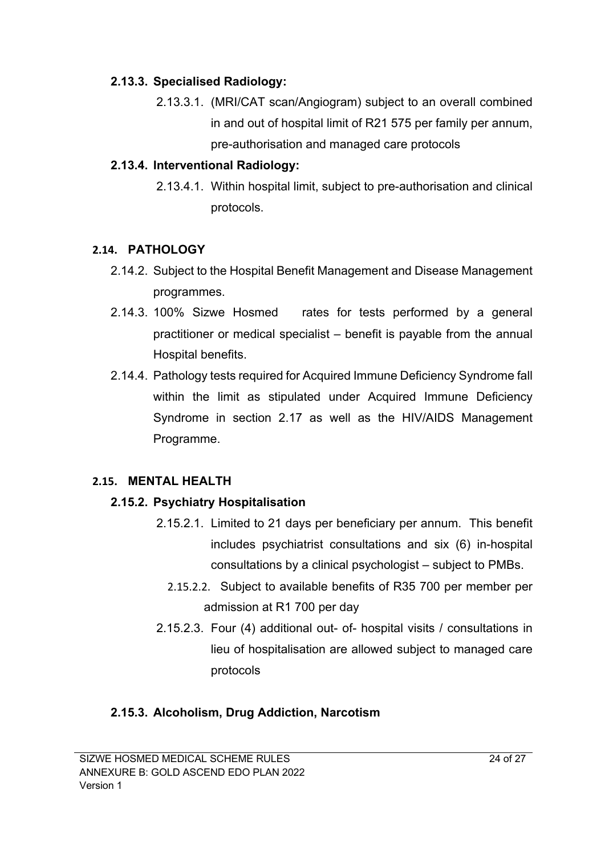#### **2.13.3. Specialised Radiology:**

2.13.3.1. (MRI/CAT scan/Angiogram) subject to an overall combined in and out of hospital limit of R21 575 per family per annum, pre-authorisation and managed care protocols

## **2.13.4. Interventional Radiology:**

2.13.4.1. Within hospital limit, subject to pre-authorisation and clinical protocols.

## **2.14. PATHOLOGY**

- 2.14.2. Subject to the Hospital Benefit Management and Disease Management programmes.
- 2.14.3. 100% Sizwe Hosmed rates for tests performed by a general practitioner or medical specialist – benefit is payable from the annual Hospital benefits.
- 2.14.4. Pathology tests required for Acquired Immune Deficiency Syndrome fall within the limit as stipulated under Acquired Immune Deficiency Syndrome in section 2.17 as well as the HIV/AIDS Management Programme.

# **2.15. MENTAL HEALTH**

# **2.15.2. Psychiatry Hospitalisation**

- 2.15.2.1. Limited to 21 days per beneficiary per annum. This benefit includes psychiatrist consultations and six (6) in-hospital consultations by a clinical psychologist – subject to PMBs.
	- 2.15.2.2. Subject to available benefits of R35 700 per member per admission at R1 700 per day
- 2.15.2.3. Four (4) additional out- of- hospital visits / consultations in lieu of hospitalisation are allowed subject to managed care protocols

# **2.15.3. Alcoholism, Drug Addiction, Narcotism**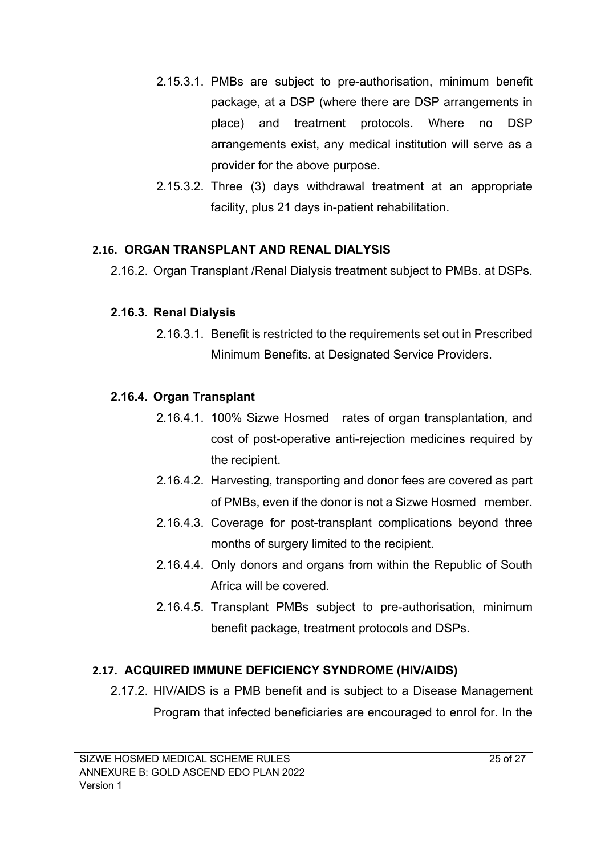- 2.15.3.1. PMBs are subject to pre-authorisation, minimum benefit package, at a DSP (where there are DSP arrangements in place) and treatment protocols. Where no DSP arrangements exist, any medical institution will serve as a provider for the above purpose.
- 2.15.3.2. Three (3) days withdrawal treatment at an appropriate facility, plus 21 days in-patient rehabilitation.

#### **2.16. ORGAN TRANSPLANT AND RENAL DIALYSIS**

2.16.2. Organ Transplant /Renal Dialysis treatment subject to PMBs. at DSPs.

#### **2.16.3. Renal Dialysis**

2.16.3.1. Benefit is restricted to the requirements set out in Prescribed Minimum Benefits. at Designated Service Providers.

## **2.16.4. Organ Transplant**

- 2.16.4.1. 100% Sizwe Hosmed rates of organ transplantation, and cost of post-operative anti-rejection medicines required by the recipient.
- 2.16.4.2. Harvesting, transporting and donor fees are covered as part of PMBs, even if the donor is not a Sizwe Hosmed member.
- 2.16.4.3. Coverage for post-transplant complications beyond three months of surgery limited to the recipient.
- 2.16.4.4. Only donors and organs from within the Republic of South Africa will be covered.
- 2.16.4.5. Transplant PMBs subject to pre-authorisation, minimum benefit package, treatment protocols and DSPs.

## **2.17. ACQUIRED IMMUNE DEFICIENCY SYNDROME (HIV/AIDS)**

2.17.2. HIV/AIDS is a PMB benefit and is subject to a Disease Management Program that infected beneficiaries are encouraged to enrol for. In the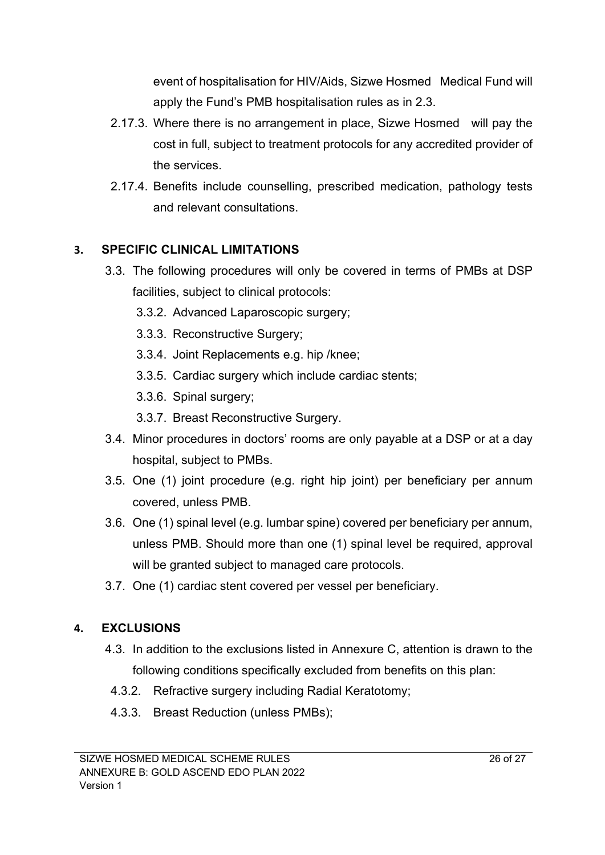event of hospitalisation for HIV/Aids, Sizwe Hosmed Medical Fund will apply the Fund's PMB hospitalisation rules as in 2.3.

- 2.17.3. Where there is no arrangement in place, Sizwe Hosmed will pay the cost in full, subject to treatment protocols for any accredited provider of the services.
- 2.17.4. Benefits include counselling, prescribed medication, pathology tests and relevant consultations.

## **3. SPECIFIC CLINICAL LIMITATIONS**

- 3.3. The following procedures will only be covered in terms of PMBs at DSP facilities, subject to clinical protocols:
	- 3.3.2. Advanced Laparoscopic surgery;
	- 3.3.3. Reconstructive Surgery;
	- 3.3.4. Joint Replacements e.g. hip /knee;
	- 3.3.5. Cardiac surgery which include cardiac stents;
	- 3.3.6. Spinal surgery;
	- 3.3.7. Breast Reconstructive Surgery.
- 3.4. Minor procedures in doctors' rooms are only payable at a DSP or at a day hospital, subject to PMBs.
- 3.5. One (1) joint procedure (e.g. right hip joint) per beneficiary per annum covered, unless PMB.
- 3.6. One (1) spinal level (e.g. lumbar spine) covered per beneficiary per annum, unless PMB. Should more than one (1) spinal level be required, approval will be granted subject to managed care protocols.
- 3.7. One (1) cardiac stent covered per vessel per beneficiary.

# **4. EXCLUSIONS**

- 4.3. In addition to the exclusions listed in Annexure C, attention is drawn to the following conditions specifically excluded from benefits on this plan:
- 4.3.2. Refractive surgery including Radial Keratotomy;
- 4.3.3. Breast Reduction (unless PMBs);